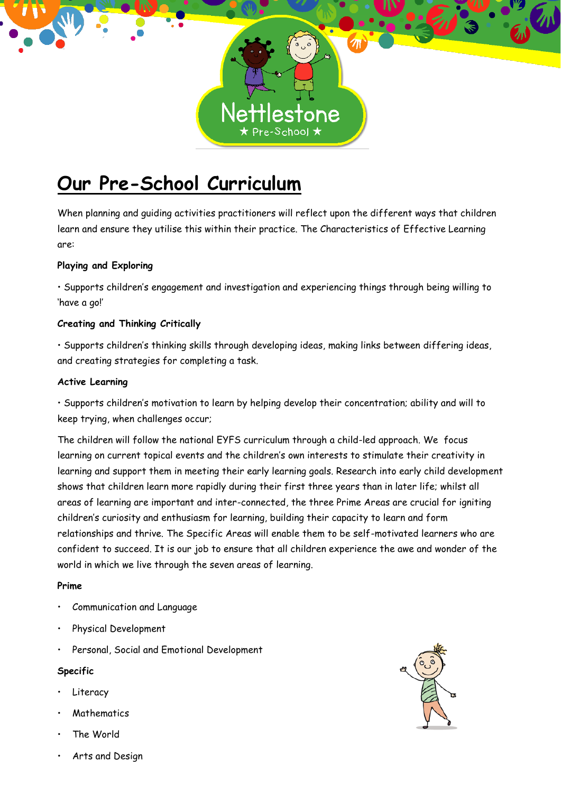

# **Our Pre-School Curriculum**

When planning and guiding activities practitioners will reflect upon the different ways that children learn and ensure they utilise this within their practice. The Characteristics of Effective Learning are:

# **Playing and Exploring**

• Supports children's engagement and investigation and experiencing things through being willing to 'have a go!'

# **Creating and Thinking Critically**

• Supports children's thinking skills through developing ideas, making links between differing ideas, and creating strategies for completing a task.

## **Active Learning**

• Supports children's motivation to learn by helping develop their concentration; ability and will to keep trying, when challenges occur;

The children will follow the national EYFS curriculum through a child-led approach. We focus learning on current topical events and the children's own interests to stimulate their creativity in learning and support them in meeting their early learning goals. Research into early child development shows that children learn more rapidly during their first three years than in later life; whilst all areas of learning are important and inter-connected, the three Prime Areas are crucial for igniting children's curiosity and enthusiasm for learning, building their capacity to learn and form relationships and thrive. The Specific Areas will enable them to be self-motivated learners who are confident to succeed. It is our job to ensure that all children experience the awe and wonder of the world in which we live through the seven areas of learning.

## **Prime**

- Communication and Language
- Physical Development
- Personal, Social and Emotional Development

## **Specific**

- **Literacy**
- **Mathematics**
- The World
- Arts and Design

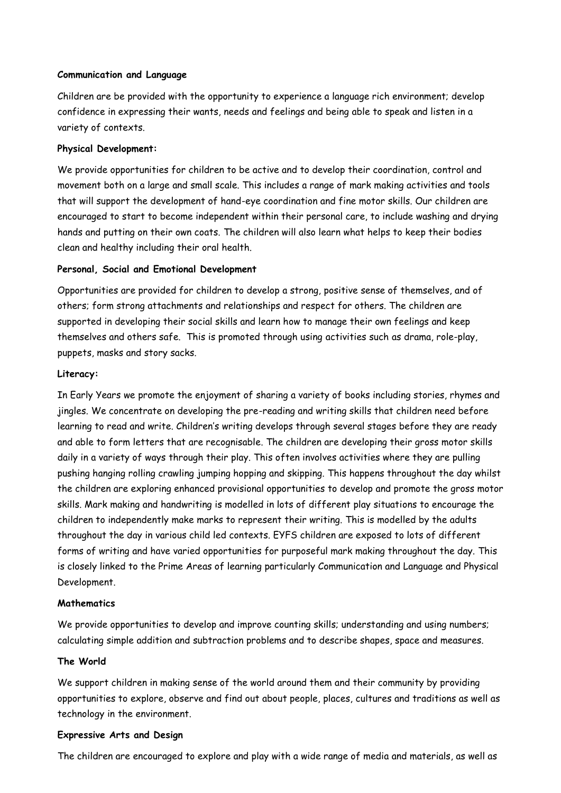#### **Communication and Language**

Children are be provided with the opportunity to experience a language rich environment; develop confidence in expressing their wants, needs and feelings and being able to speak and listen in a variety of contexts.

#### **Physical Development:**

We provide opportunities for children to be active and to develop their coordination, control and movement both on a large and small scale. This includes a range of mark making activities and tools that will support the development of hand-eye coordination and fine motor skills. Our children are encouraged to start to become independent within their personal care, to include washing and drying hands and putting on their own coats. The children will also learn what helps to keep their bodies clean and healthy including their oral health.

#### **Personal, Social and Emotional Development**

Opportunities are provided for children to develop a strong, positive sense of themselves, and of others; form strong attachments and relationships and respect for others. The children are supported in developing their social skills and learn how to manage their own feelings and keep themselves and others safe. This is promoted through using activities such as drama, role-play, puppets, masks and story sacks.

#### **Literacy:**

In Early Years we promote the enjoyment of sharing a variety of books including stories, rhymes and jingles. We concentrate on developing the pre-reading and writing skills that children need before learning to read and write. Children's writing develops through several stages before they are ready and able to form letters that are recognisable. The children are developing their gross motor skills daily in a variety of ways through their play. This often involves activities where they are pulling pushing hanging rolling crawling jumping hopping and skipping. This happens throughout the day whilst the children are exploring enhanced provisional opportunities to develop and promote the gross motor skills. Mark making and handwriting is modelled in lots of different play situations to encourage the children to independently make marks to represent their writing. This is modelled by the adults throughout the day in various child led contexts. EYFS children are exposed to lots of different forms of writing and have varied opportunities for purposeful mark making throughout the day. This is closely linked to the Prime Areas of learning particularly Communication and Language and Physical Development.

## **Mathematics**

We provide opportunities to develop and improve counting skills; understanding and using numbers; calculating simple addition and subtraction problems and to describe shapes, space and measures.

#### **The World**

We support children in making sense of the world around them and their community by providing opportunities to explore, observe and find out about people, places, cultures and traditions as well as technology in the environment.

#### **Expressive Arts and Design**

The children are encouraged to explore and play with a wide range of media and materials, as well as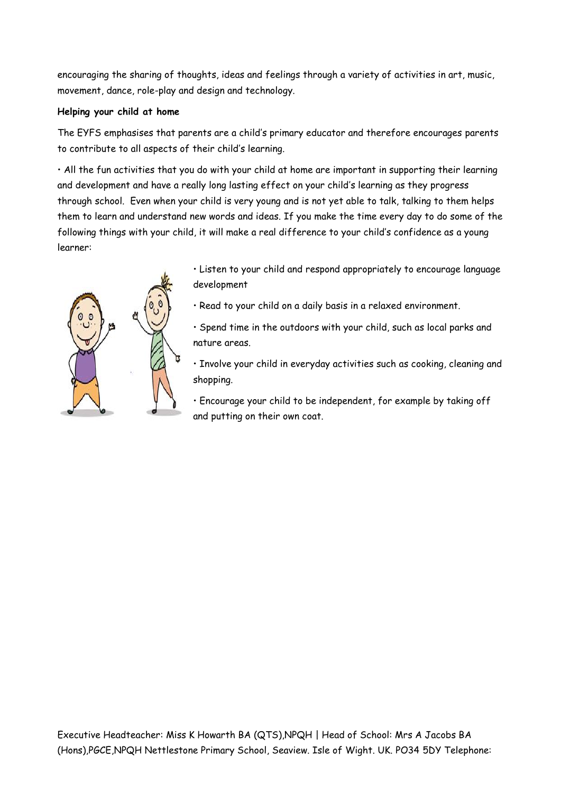encouraging the sharing of thoughts, ideas and feelings through a variety of activities in art, music, movement, dance, role-play and design and technology.

## **Helping your child at home**

The EYFS emphasises that parents are a child's primary educator and therefore encourages parents to contribute to all aspects of their child's learning.

• All the fun activities that you do with your child at home are important in supporting their learning and development and have a really long lasting effect on your child's learning as they progress through school. Even when your child is very young and is not yet able to talk, talking to them helps them to learn and understand new words and ideas. If you make the time every day to do some of the following things with your child, it will make a real difference to your child's confidence as a young learner:



• Listen to your child and respond appropriately to encourage language development

- Read to your child on a daily basis in a relaxed environment.
- Spend time in the outdoors with your child, such as local parks and nature areas.

• Involve your child in everyday activities such as cooking, cleaning and shopping.

• Encourage your child to be independent, for example by taking off and putting on their own coat.